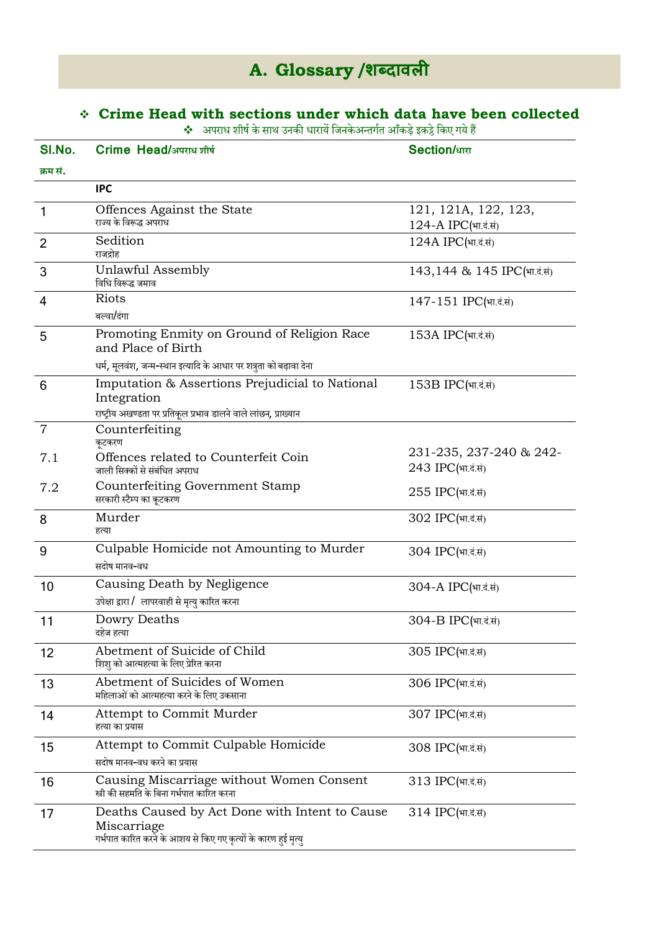# **A. Glossary /शब्दावली**

# **Crime Head with sections under which data have been collected**

 $\clubsuit$  अपराध शीर्ष के साथ उनकी धारायें जिनकेअन्तर्गत आँकड़े इकट्ठे किए गये हैं

| SI.No.         | Crime Head/अपराध शीर्ष                                                                                                          | <b>Section/</b> धारा                         |
|----------------|---------------------------------------------------------------------------------------------------------------------------------|----------------------------------------------|
| क्रम सं.       |                                                                                                                                 |                                              |
|                | <b>IPC</b>                                                                                                                      |                                              |
| $\mathbf{1}$   | Offences Against the State<br>राज्य के विरूद्ध अपराध                                                                            | 121, 121A, 122, 123,<br>124-A IPC(भा.दं.सं)  |
| $\overline{2}$ | Sedition<br>राजद्रोह                                                                                                            | 124A IPC(भा.दं.सं)                           |
| 3              | Unlawful Assembly<br>विधि विरूद्ध जमाव                                                                                          | 143,144 & 145 IPC(भा.दं.सं)                  |
| $\overline{4}$ | <b>Riots</b><br>बल्वा/दंगा                                                                                                      | 147-151 IPC(भा.दं.सं)                        |
| 5              | Promoting Enmity on Ground of Religion Race<br>and Place of Birth                                                               | 153A IPC(भा.दं.सं)                           |
|                | धर्म, मूलवंश, जन्म-स्थान इत्यादि के आधार पर शत्रुता को बढ़ावा देना                                                              |                                              |
| 6              | Imputation & Assertions Prejudicial to National<br>Integration                                                                  | 153B IPC(भा.दं.सं)                           |
| $\overline{7}$ | राष्ट्रीय अखण्डता पर प्रतिकूल प्रभाव डालने वाले लांछन, प्राख्यान<br>Counterfeiting<br>कूटकरण                                    |                                              |
| 7.1            | Offences related to Counterfeit Coin<br>जाली सिक्कों से संबंधित अपराध                                                           | 231-235, 237-240 & 242-<br>243 IPC(भा.दं.सं) |
| 7.2            | Counterfeiting Government Stamp<br>सरकारी स्टैम्प का कूटकरण                                                                     | $255$ IPC(भा.दं.सं)                          |
| 8              | Murder<br>हत्या                                                                                                                 | 302 IPC(भा.दं.सं)                            |
| 9              | Culpable Homicide not Amounting to Murder<br>सदोष मानव-वध                                                                       | 304 IPC(भा.दं.सं)                            |
| 10             | Causing Death by Negligence<br>उपेक्षा द्वारा / लापरवाही से मृत्यु कारित करना                                                   | 304-A IPC(भा.दं.सं)                          |
| 11             | Dowry Deaths<br>दहेज हत्या                                                                                                      | 304-B IPC(भा.दं.सं)                          |
| 12             | Abetment of Suicide of Child<br>शिशु को आत्महत्या के लिए प्रेरित करना                                                           | 305 IPC(भा.दं.सं)                            |
| 13             | Abetment of Suicides of Women<br>महिलाओं को आत्महत्या करने के लिए उकसाना                                                        | 306 IPC(भा.दं.सं)                            |
| 14             | Attempt to Commit Murder<br>हत्या का प्रयास                                                                                     | 307 IPC(भा.दं.सं)                            |
| 15             | Attempt to Commit Culpable Homicide                                                                                             | 308 IPC(भा.दं.सं)                            |
|                | सदोष मानव-वध करने का प्रयास                                                                                                     |                                              |
| 16             | Causing Miscarriage without Women Consent<br>स्त्री की सहमति के बिना गर्भपात कारित करना                                         | 313 IPC(भा.दं.सं)                            |
| 17             | Deaths Caused by Act Done with Intent to Cause<br>Miscarriage<br>गर्भपात कारित करने के आशय से किए गए कृत्यों के कारण हुई मृत्यु | 314 IPC(भा.दं.सं)                            |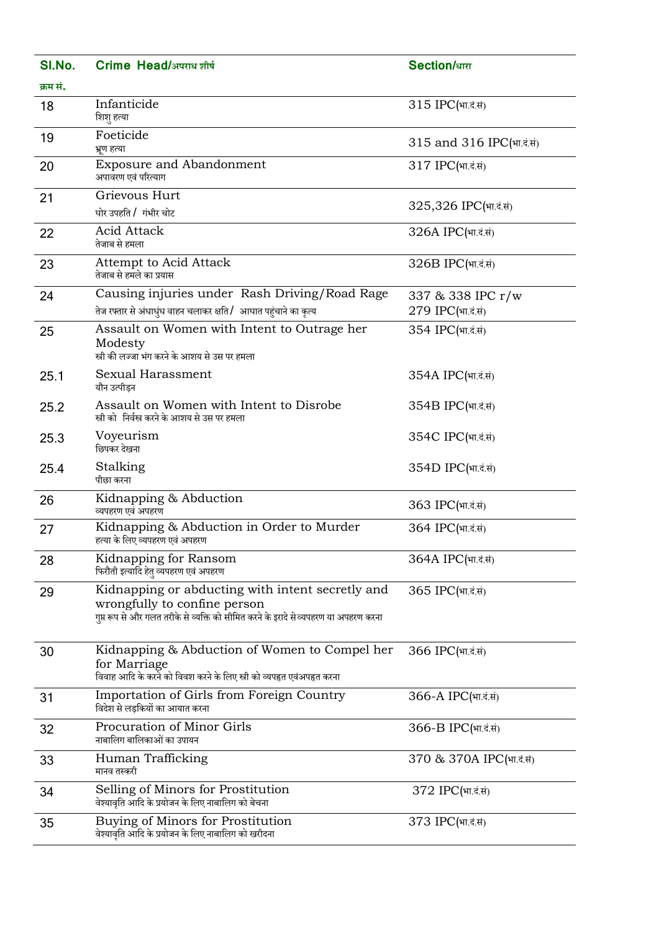| SI.No.   | Crime Head/अपराध शीर्ष                                                                                                                                                   | <b>Section/</b> धारा                   |
|----------|--------------------------------------------------------------------------------------------------------------------------------------------------------------------------|----------------------------------------|
| क्रम सं. |                                                                                                                                                                          |                                        |
| 18       | Infanticide<br>शिशु हत्या                                                                                                                                                | 315 IPC(भा.दं.सं)                      |
| 19       | Foeticide<br>भ्रूण हत्या                                                                                                                                                 | 315 and 316 IPC(भा.दं.सं)              |
| 20       | <b>Exposure and Abandonment</b><br>अपावरण एवं परित्याग                                                                                                                   | 317 IPC(भा.दं.सं)                      |
| 21       | Grievous Hurt<br>घोर उपहति / गंभीर चोट                                                                                                                                   | 325,326 IPC(भा.दं.सं)                  |
| 22       | <b>Acid Attack</b><br>तेजाब से हमला                                                                                                                                      | 326A IPC(भा.दं.सं)                     |
| 23       | Attempt to Acid Attack<br>तेजाब से हमले का प्रयास                                                                                                                        | 326B IPC(भा.दं.सं)                     |
| 24       | Causing injuries under Rash Driving/Road Rage<br>तेज रफ्तार से अंधाधुंध वाहन चलाकर क्षति/ आघात पहुंचाने का कृत्य                                                         | 337 & 338 IPC r/w<br>279 IPC(भा.दं.सं) |
| 25       | Assault on Women with Intent to Outrage her<br>Modesty<br>स्त्री की लज्जा भंग करने के आशय से उस पर हमला                                                                  | 354 IPC(भा.दं.सं)                      |
| 25.1     | Sexual Harassment<br>यौन उत्पीड़न                                                                                                                                        | 354A IPC(भा.दं.सं)                     |
| 25.2     | Assault on Women with Intent to Disrobe<br>स्त्री को निर्वस्त्र करने के आशय से उस पर हमला                                                                                | 354B IPC(भा.दं.सं)                     |
| 25.3     | Voyeurism<br>छिपकर देखना                                                                                                                                                 | 354C IPC(भा.दं.सं)                     |
| 25.4     | Stalking<br>पीछा करना                                                                                                                                                    | 354D IPC(भा.दं.सं)                     |
| 26       | Kidnapping & Abduction<br>व्यपहरण एवं अपहरण                                                                                                                              | 363 IPC(भा.दं.सं)                      |
| 27       | Kidnapping & Abduction in Order to Murder<br>हत्या के लिए व्यपहरण एवं अपहरण                                                                                              | 364 IPC(भा.दं.सं)                      |
| 28       | Kidnapping for Ransom<br>फिरौती इत्यादि हेतु व्यपहरण एवं अपहरण                                                                                                           | 364A IPC(भा.दं.सं)                     |
| 29       | Kidnapping or abducting with intent secretly and<br>wrongfully to confine person<br>गुप्त रूप से और गलत तरीके से व्यक्ति को सीमित करने के इरादे से व्यपहरण या अपहरण करना | 365 IPC(भा.दं.सं)                      |
| 30       | Kidnapping & Abduction of Women to Compel her<br>for Marriage<br>विवाह आदि के करने को विवश करने के लिए स्त्री को व्यपहृत एवंअपहृत करना                                   | 366 IPC(भा.दं.सं)                      |
| 31       | Importation of Girls from Foreign Country<br>विदेश से लड़कियों का आयात करना                                                                                              | 366-A IPC(भा.दं.सं)                    |
| 32       | Procuration of Minor Girls<br>नाबालिग बालिकाओं का उपायन                                                                                                                  | 366-B IPC(भा.दं.सं)                    |
| 33       | Human Trafficking<br>मानव तस्करी                                                                                                                                         | 370 & 370A IPC(भा.दं.सं)               |
| 34       | Selling of Minors for Prostitution<br>वेश्यावृति आदि के प्रयोजन के लिए नाबालिग को बेचना                                                                                  | 372 IPC(भा.दं.सं)                      |
| 35       | Buying of Minors for Prostitution<br>वेश्यावृति आदि के प्रयोजन के लिए नाबालिग को खरीदना                                                                                  | 373 IPC(भा.दं.सं)                      |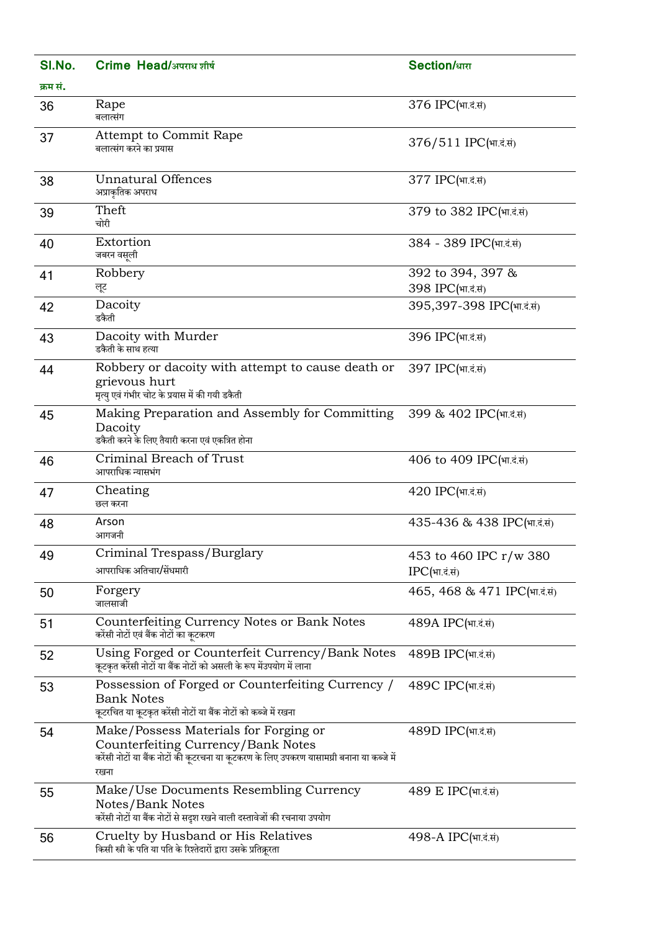| SI.No.   | Crime Head/अपराध शीर्ष                                                                                                                                                           | <b>Section/</b> धारा                       |
|----------|----------------------------------------------------------------------------------------------------------------------------------------------------------------------------------|--------------------------------------------|
| क्रम सं. |                                                                                                                                                                                  |                                            |
| 36       | Rape<br>बलात्संग                                                                                                                                                                 | 376 IPC(भा.दं.सं)                          |
| 37       | <b>Attempt to Commit Rape</b><br>बलात्संग करने का प्रयास                                                                                                                         | 376/511 IPC(भा.दं.सं)                      |
| 38       | <b>Unnatural Offences</b><br>अप्राकृतिक अपराध                                                                                                                                    | 377 IPC(भा.दं.सं)                          |
| 39       | Theft<br>चोरी                                                                                                                                                                    | 379 to 382 IPC(भा.दं.सं)                   |
| 40       | Extortion<br>जबरन वसूली                                                                                                                                                          | 384 - 389 IPC(भा.दं.सं)                    |
| 41       | Robbery<br>लूट                                                                                                                                                                   | 392 to 394, 397 &<br>398 IPC(भा.दं.सं)     |
| 42       | Dacoity<br>डकैती                                                                                                                                                                 | 395,397-398 IPC(भा.दं.सं)                  |
| 43       | Dacoity with Murder<br>डकैती के साथ हत्या                                                                                                                                        | 396 IPC(भा.दं.सं)                          |
| 44       | Robbery or dacoity with attempt to cause death or<br>grievous hurt<br>मृत्यु एवं गंभीर चोट के प्रयास में की गयी डकैती                                                            | 397 IPC(भा.दं.सं)                          |
| 45       | Making Preparation and Assembly for Committing<br>Dacoity<br>डकैती करने के लिए तैयारी करना एवं एकत्रित होना                                                                      | 399 & 402 IPC(भा.दं.सं)                    |
| 46       | Criminal Breach of Trust<br>आपराधिक न्यासभंग                                                                                                                                     | 406 to 409 IPC(भा.दं.सं)                   |
| 47       | Cheating<br>छल करना                                                                                                                                                              | 420 IPC(भा.दं.सं)                          |
| 48       | Arson<br>आगजनी                                                                                                                                                                   | 435-436 & 438 IPC(भा.दं.सं)                |
| 49       | Criminal Trespass/Burglary<br>आपराधिक अतिचार/सेंधमारी                                                                                                                            | 453 to 460 IPC r/w 380<br>$IPC$ (भा.दं.सं) |
| 50       | Forgery<br>जालसाजी                                                                                                                                                               | 465, 468 & 471 IPC(भा.दं.सं)               |
| 51       | Counterfeiting Currency Notes or Bank Notes<br>करेंसी नोटों एवं बैंक नोटों का कूटकरण                                                                                             | 489A IPC(भा.दं.सं)                         |
| 52       | Using Forged or Counterfeit Currency/Bank Notes<br>कुटकृत करेंसी नोटों या बैंक नोटों को असली के रूप मेंउपयोग में लाना                                                            | 489B IPC(भा.दं.सं)                         |
| 53       | Possession of Forged or Counterfeiting Currency /<br><b>Bank Notes</b><br>कूटरचित या कूटकृत करेंसी नोटों या बैंक नोटों को कब्जे में रखना                                         | 489C IPC(भा.दं.सं)                         |
| 54       | Make/Possess Materials for Forging or<br>Counterfeiting Currency/Bank Notes<br>करेंसी नोटों या बैंक नोटों की कूटरचना या कूटकरण के लिए उपकरण यासामग्री बनाना या कब्जे में<br>रखना | 489D IPC(भा.दं.सं)                         |
| 55       | Make/Use Documents Resembling Currency<br>Notes/Bank Notes<br>करेंसी नोटों या बैंक नोटों से सदृश रखने वाली दस्तावेजों की रचनाया उपयोग                                            | 489 E IPC(भा.दं.सं)                        |
| 56       | Cruelty by Husband or His Relatives<br>किसी स्त्री के पति या पति के रिश्तेदारों द्वारा उसके प्रतिक्रूरता                                                                         | 498-A IPC(भा.दं.सं)                        |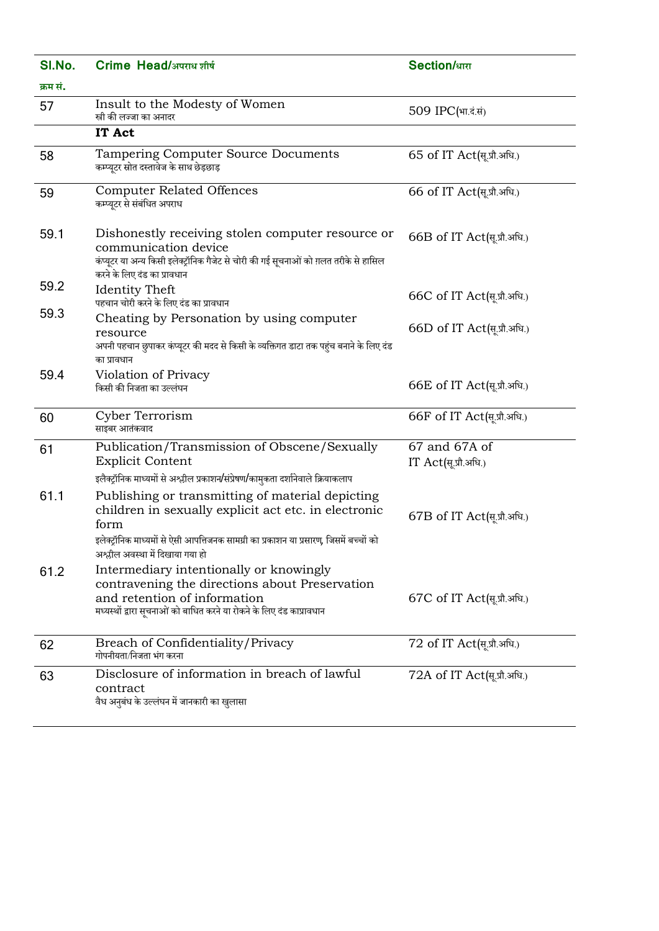| SI.No.   | Crime Head/अपराध शीर्ष                                                                                                                                                                                                                        | <b>Section/धारा</b>                   |
|----------|-----------------------------------------------------------------------------------------------------------------------------------------------------------------------------------------------------------------------------------------------|---------------------------------------|
| क्रम सं. |                                                                                                                                                                                                                                               |                                       |
| 57       | Insult to the Modesty of Women<br>स्त्री की लज्जा का अनादर                                                                                                                                                                                    | 509 IPC(भा.दं.सं)                     |
|          | IT Act                                                                                                                                                                                                                                        |                                       |
| 58       | Tampering Computer Source Documents<br>कम्प्यूटर स्रोत दस्तावेज के साथ छेड़छाड़                                                                                                                                                               | 65 of IT Act(सू.प्रौ.अधि.)            |
| 59       | <b>Computer Related Offences</b><br>कम्प्यूटर से संबंधित अपराध                                                                                                                                                                                | 66 of IT Act(सूप्रौ.अधि.)             |
| 59.1     | Dishonestly receiving stolen computer resource or<br>communication device<br>कंप्यूटर या अन्य किसी इलेक्ट्रॉनिक गैजेट से चोरी की गई सूचनाओं को ग़लत तरीके से हासिल<br>करने के लिए दंड का प्रावधान                                             | 66B of IT Act(सू.प्रौ.अधि.)           |
| 59.2     | <b>Identity Theft</b><br>पहचान चोरी करने के लिए दंड का प्रावधान                                                                                                                                                                               | 66C of IT Act(सू.प्रौ.अधि.)           |
| 59.3     | Cheating by Personation by using computer<br>resource<br>अपनी पहचान छुपाकर कंप्यूटर की मदद से किसी के व्यक्तिगत डाटा तक पहुंच बनाने के लिए दंड<br>का प्रावधान                                                                                 | 66D of IT Act(सू.प्रौ.अधि.)           |
| 59.4     | Violation of Privacy<br>किसी की निजता का उल्लंघन                                                                                                                                                                                              | 66E of IT Act(सू.प्रौ.अधि.)           |
| 60       | Cyber Terrorism<br>साइबर आतंकवाद                                                                                                                                                                                                              | 66F of IT Act(सू.प्रौ.अधि.)           |
| 61       | Publication/Transmission of Obscene/Sexually<br><b>Explicit Content</b><br>इलैक्ट्रॉनिक माध्यमों से अश्लील प्रकाशन/संप्रेषण/कामुकता दर्शानेवाले क्रियाकलाप                                                                                    | 67 and 67A of<br>IT Act(सू.प्रौ.अधि.) |
| 61.1     | Publishing or transmitting of material depicting<br>children in sexually explicit act etc. in electronic<br>form<br>इलेक्ट्रॉनिक माध्यमों से ऐसी आपत्तिजनक सामग्री का प्रकाशन या प्रसारण, जिसमें बच्चों को<br>अश्लील अवस्था में दिखाया गया हो | 67B of IT Act(सू.प्रौ.अधि.)           |
| 61.2     | Intermediary intentionally or knowingly<br>contravening the directions about Preservation<br>and retention of information<br>मध्यस्थों द्वारा सूचनाओं को बाधित करने या रोकने के लिए दंड काप्रावधान                                            | 67C of IT Act(सू.प्रौ.अधि.)           |
| 62       | Breach of Confidentiality/Privacy<br>गोपनीयता/निजता भंग करना                                                                                                                                                                                  | 72 of IT Act(सू.प्रौ.अधि.)            |
| 63       | Disclosure of information in breach of lawful<br>contract<br>वैध अनुबंध के उल्लंघन में जानकारी का खुलासा                                                                                                                                      | 72A of IT Act(सू.प्रौ.अधि.)           |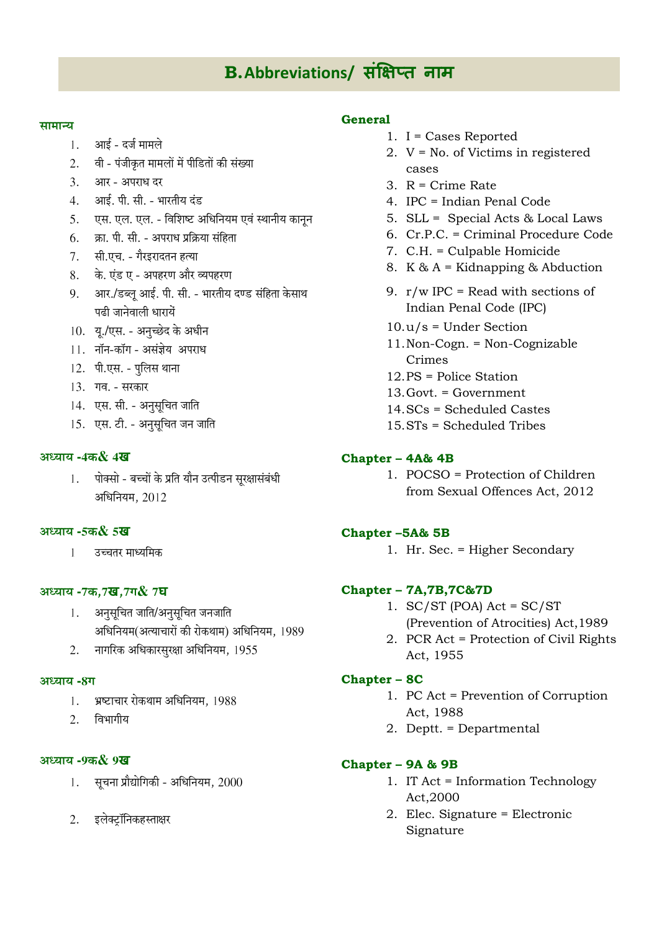# B. Abbreviations/ संक्षिप्त नाम

#### सामान्य

- आई दर्ज मामले  $1.$
- $2^{1}$ वी - पंजीकृत मामलों में पीडितों की संख्या
- 3. आर अपराध दर
- 4. आई. पी. सी. भारतीय दंड
- एस. एल. एल. विशिष्ट अधिनियम एवं स्थानीय कानून 5.
- $6.$  क्रा. पी. सी. अपराध प्रक्रिया संहिता
- 7. सी.एच. गैरइरादतन हत्या
- के. एंड ए अपहरण और व्यपहरण 8.
- 9. आर./डब्लू आई. पी. सी. भारतीय दण्ड संहिता केसाथ पढी जानेवाली धारायें
- 10. यू./एस. अनुच्छेद के अधीन
- 11. नॉन-कॉग असंज्ञेय अपराध
- 12. पी.एस. पुलिस थाना
- 13. गव. सरकार
- 14. एस. सी. अनुसूचित जाति
- 15. एस. टी. अनुसूचित जन जाति

#### अध्याय -4क& 4**ख**

पोक्सो - बच्चों के प्रति यौन उत्पीडन सुरक्षासंबंधी 1. अधिनियम, 2012

#### अध्याय -  $558$  5ख

उच्चतर माध्यमिक  $\mathbf{1}$ 

### अध्याय -7क,7ख,7ग& 7घ

- 1. अनुसूचित जाति/अनुसूचित जनजाति अधिनियम(अत्याचारों की रोकथाम) अधिनियम, 1989
- नागरिक अधिकारसुरक्षा अधिनियम, 1955  $2.$

#### अध्याय -8ग

- भ्रष्टाचार रोकथाम अधिनियम, 1988  $1.$
- $2.$ विभागीय

#### अध्याय -9क&9ख

- सूचना प्रौद्योगिकी अधिनियम, 2000  $1<sup>1</sup>$
- 2. इलेक्टॉनिकहस्ताक्षर

### General

- 1.  $I = Cases$  Reported
- 2.  $V = No$ . of Victims in registered cases
- 3.  $R =$  Crime Rate
- 4. IPC = Indian Penal Code
- 5. SLL = Special Acts & Local Laws
- 6. Cr.P.C. = Criminal Procedure Code
- 7. C.H. = Culpable Homicide
- 8. K &  $A =$  Kidnapping & Abduction
- 9.  $r/w$  IPC = Read with sections of Indian Penal Code (IPC)
- $10.u/s =$  Under Section
- 11. Non-Cogn. = Non-Cognizable Crimes
- $12$  PS = Police Station
- 13. Govt. = Government
- 14. SCs = Scheduled Castes
- 15. STs = Scheduled Tribes

# **Chapter - 4A& 4B**

1. POCSO = Protection of Children from Sexual Offences Act, 2012

#### Chapter-5A& 5B

1. Hr. Sec. = Higher Secondary

#### **Chapter - 7A, 7B, 7C& 7D**

- 1.  $SC/ST$  (POA) Act =  $SC/ST$ (Prevention of Atrocities) Act, 1989
- 2. PCR Act = Protection of Civil Rights Act, 1955

#### **Chapter - 8C**

- 1. PC Act = Prevention of Corruption Act. 1988
- 2. Deptt. = Departmental

#### Chapter - 9A & 9B

- 1. IT Act = Information Technology Act,2000
- 2. Elec. Signature = Electronic Signature